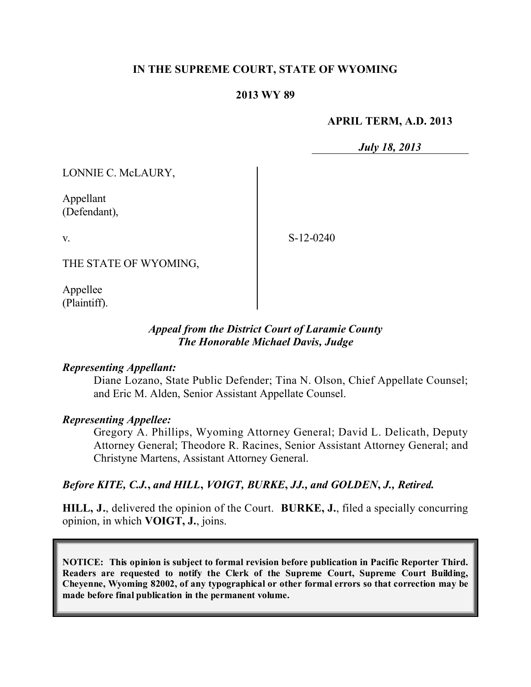### **IN THE SUPREME COURT, STATE OF WYOMING**

### **2013 WY 89**

#### **APRIL TERM, A.D. 2013**

*July 18, 2013*

LONNIE C. McLAURY,

Appellant (Defendant),

v.

S-12-0240

THE STATE OF WYOMING,

Appellee (Plaintiff).

### *Appeal from the District Court of Laramie County The Honorable Michael Davis, Judge*

#### *Representing Appellant:*

Diane Lozano, State Public Defender; Tina N. Olson, Chief Appellate Counsel; and Eric M. Alden, Senior Assistant Appellate Counsel.

#### *Representing Appellee:*

Gregory A. Phillips, Wyoming Attorney General; David L. Delicath, Deputy Attorney General; Theodore R. Racines, Senior Assistant Attorney General; and Christyne Martens, Assistant Attorney General.

### *Before KITE, C.J.***,** *and HILL***,** *VOIGT, BURKE***,** *JJ., and GOLDEN***,** *J., Retired.*

**HILL, J.**, delivered the opinion of the Court. **BURKE, J.**, filed a specially concurring opinion, in which **VOIGT, J.**, joins.

**NOTICE: This opinion is subject to formal revision before publication in Pacific Reporter Third. Readers are requested to notify the Clerk of the Supreme Court, Supreme Court Building, Cheyenne, Wyoming 82002, of any typographical or other formal errors so that correction may be made before final publication in the permanent volume.**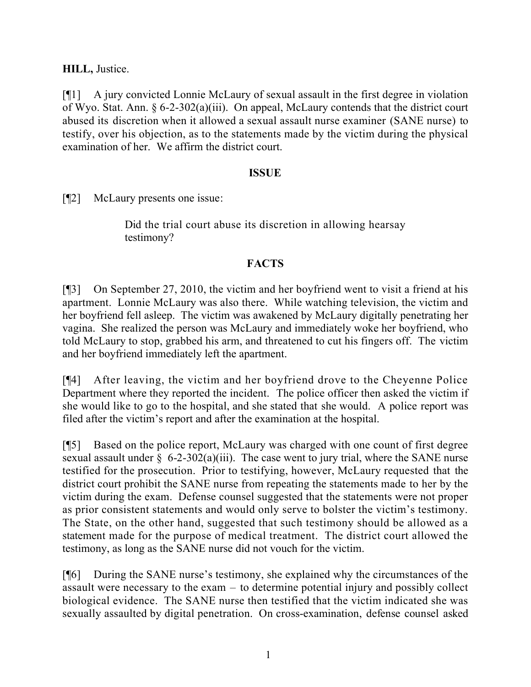**HILL,** Justice.

[¶1] A jury convicted Lonnie McLaury of sexual assault in the first degree in violation of Wyo. Stat. Ann. § 6-2-302(a)(iii). On appeal, McLaury contends that the district court abused its discretion when it allowed a sexual assault nurse examiner (SANE nurse) to testify, over his objection, as to the statements made by the victim during the physical examination of her. We affirm the district court.

# **ISSUE**

[¶2] McLaury presents one issue:

Did the trial court abuse its discretion in allowing hearsay testimony?

# **FACTS**

[¶3] On September 27, 2010, the victim and her boyfriend went to visit a friend at his apartment. Lonnie McLaury was also there. While watching television, the victim and her boyfriend fell asleep. The victim was awakened by McLaury digitally penetrating her vagina. She realized the person was McLaury and immediately woke her boyfriend, who told McLaury to stop, grabbed his arm, and threatened to cut his fingers off. The victim and her boyfriend immediately left the apartment.

[¶4] After leaving, the victim and her boyfriend drove to the Cheyenne Police Department where they reported the incident. The police officer then asked the victim if she would like to go to the hospital, and she stated that she would. A police report was filed after the victim's report and after the examination at the hospital.

[¶5] Based on the police report, McLaury was charged with one count of first degree sexual assault under  $\S$  6-2-302(a)(iii). The case went to jury trial, where the SANE nurse testified for the prosecution. Prior to testifying, however, McLaury requested that the district court prohibit the SANE nurse from repeating the statements made to her by the victim during the exam. Defense counsel suggested that the statements were not proper as prior consistent statements and would only serve to bolster the victim's testimony. The State, on the other hand, suggested that such testimony should be allowed as a statement made for the purpose of medical treatment. The district court allowed the testimony, as long as the SANE nurse did not vouch for the victim.

[¶6] During the SANE nurse's testimony, she explained why the circumstances of the assault were necessary to the exam – to determine potential injury and possibly collect biological evidence. The SANE nurse then testified that the victim indicated she was sexually assaulted by digital penetration. On cross-examination, defense counsel asked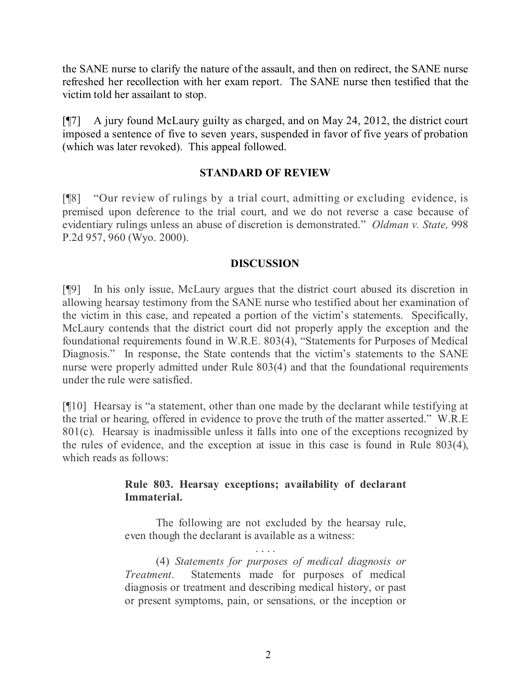the SANE nurse to clarify the nature of the assault, and then on redirect, the SANE nurse refreshed her recollection with her exam report. The SANE nurse then testified that the victim told her assailant to stop.

[¶7] A jury found McLaury guilty as charged, and on May 24, 2012, the district court imposed a sentence of five to seven years, suspended in favor of five years of probation (which was later revoked). This appeal followed.

# **STANDARD OF REVIEW**

[¶8] "Our review of rulings by a trial court, admitting or excluding evidence, is premised upon deference to the trial court, and we do not reverse a case because of evidentiary rulings unless an abuse of discretion is demonstrated." *Oldman v. State,* 998 P.2d 957, 960 (Wyo. 2000).

# **DISCUSSION**

[¶9] In his only issue, McLaury argues that the district court abused its discretion in allowing hearsay testimony from the SANE nurse who testified about her examination of the victim in this case, and repeated a portion of the victim's statements. Specifically, McLaury contends that the district court did not properly apply the exception and the foundational requirements found in W.R.E. 803(4), "Statements for Purposes of Medical Diagnosis." In response, the State contends that the victim's statements to the SANE nurse were properly admitted under Rule 803(4) and that the foundational requirements under the rule were satisfied.

[¶10] Hearsay is "a statement, other than one made by the declarant while testifying at the trial or hearing, offered in evidence to prove the truth of the matter asserted." W.R.E 801(c). Hearsay is inadmissible unless it falls into one of the exceptions recognized by the rules of evidence, and the exception at issue in this case is found in Rule 803(4), which reads as follows:

# **Rule 803. Hearsay exceptions; availability of declarant Immaterial.**

The following are not excluded by the hearsay rule, even though the declarant is available as a witness:

. . . . (4) *Statements for purposes of medical diagnosis or Treatment*. Statements made for purposes of medical diagnosis or treatment and describing medical history, or past or present symptoms, pain, or sensations, or the inception or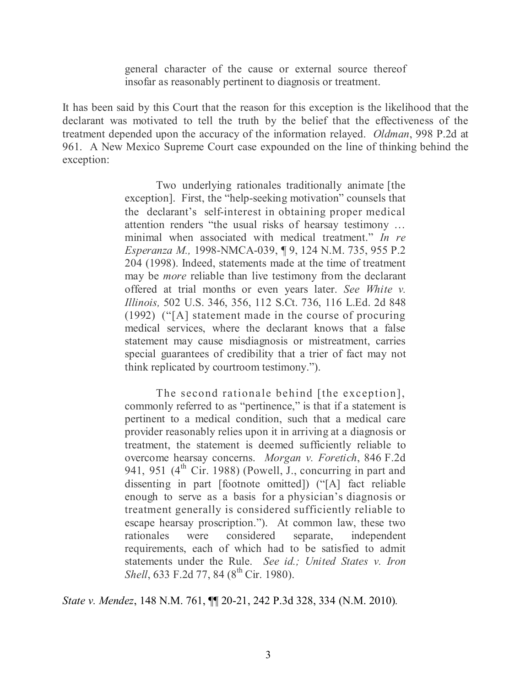general character of the cause or external source thereof insofar as reasonably pertinent to diagnosis or treatment.

It has been said by this Court that the reason for this exception is the likelihood that the declarant was motivated to tell the truth by the belief that the effectiveness of the treatment depended upon the accuracy of the information relayed. *Oldman*, 998 P.2d at 961. A New Mexico Supreme Court case expounded on the line of thinking behind the exception:

> Two underlying rationales traditionally animate [the exception]. First, the "help-seeking motivation" counsels that the declarant's self-interest in obtaining proper medical attention renders "the usual risks of hearsay testimony … minimal when associated with medical treatment." *In re Esperanza M.,* 1998-NMCA-039, ¶ 9, 124 N.M. 735, 955 P.2 204 (1998). Indeed, statements made at the time of treatment may be *more* reliable than live testimony from the declarant offered at trial months or even years later. *See White v. Illinois,* 502 U.S. 346, 356, 112 S.Ct. 736, 116 L.Ed. 2d 848 (1992) ("[A] statement made in the course of procuring medical services, where the declarant knows that a false statement may cause misdiagnosis or mistreatment, carries special guarantees of credibility that a trier of fact may not think replicated by courtroom testimony.").

> The second rationale behind [the exception], commonly referred to as "pertinence," is that if a statement is pertinent to a medical condition, such that a medical care provider reasonably relies upon it in arriving at a diagnosis or treatment, the statement is deemed sufficiently reliable to overcome hearsay concerns. *Morgan v. Foretich*, 846 F.2d 941, 951 ( $4^{\text{th}}$  Cir. 1988) (Powell, J., concurring in part and dissenting in part [footnote omitted]) ("[A] fact reliable enough to serve as a basis for a physician's diagnosis or treatment generally is considered sufficiently reliable to escape hearsay proscription."). At common law, these two rationales were considered separate, independent requirements, each of which had to be satisfied to admit statements under the Rule. *See id.; United States v. Iron Shell*, 633 F.2d 77, 84 (8<sup>th</sup> Cir. 1980).

*State v. Mendez*, 148 N.M. 761, ¶¶ 20-21, 242 P.3d 328, 334 (N.M. 2010)*.*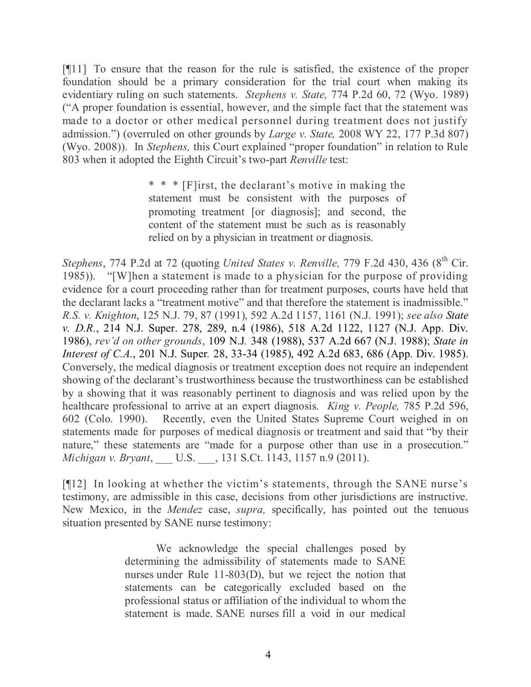[¶11] To ensure that the reason for the rule is satisfied, the existence of the proper foundation should be a primary consideration for the trial court when making its evidentiary ruling on such statements. *Stephens v. State,* 774 P.2d 60, 72 (Wyo. 1989) ("A proper foundation is essential, however, and the simple fact that the statement was made to a doctor or other medical personnel during treatment does not justify admission.") (overruled on other grounds by *Large v. State,* 2008 WY 22, 177 P.3d 807) (Wyo. 2008)). In *Stephens,* this Court explained "proper foundation" in relation to Rule 803 when it adopted the Eighth Circuit's two-part *Renville* test:

> \* \* \* [F]irst, the declarant's motive in making the statement must be consistent with the purposes of promoting treatment [or diagnosis]; and second, the content of the statement must be such as is reasonably relied on by a physician in treatment or diagnosis.

*Stephens*, 774 P.2d at 72 (quoting *United States v. Renville,* 779 F.2d 430, 436 (8 th Cir. 1985)). "[W]hen a statement is made to a physician for the purpose of providing evidence for a court proceeding rather than for treatment purposes, courts have held that the declarant lacks a "treatment motive" and that therefore the statement is inadmissible." *R.S. v. Knighton*, 125 N.J. 79, 87 (1991), 592 A.2d 1157, 1161 (N.J. 1991); *see also State v. D.R.*, 214 N.J. Super. 278, 289, n.4 (1986), 518 A*.*2d 1122, 1127 (N.J. App. Div. 1986), *rev'd on other grounds*, 109 N.J*.* 348 (1988), 537 A.2d 667 (N.J. 1988); *State in Interest of C.A.*, 201 N.J. Super*.* 28, 33-34 (1985), 492 A.2d 683, 686 (App. Div. 1985). Conversely, the medical diagnosis or treatment exception does not require an independent showing of the declarant's trustworthiness because the trustworthiness can be established by a showing that it was reasonably pertinent to diagnosis and was relied upon by the healthcare professional to arrive at an expert diagnosis. *King v. People,* 785 P.2d 596, 602 (Colo. 1990). Recently, even the United States Supreme Court weighed in on statements made for purposes of medical diagnosis or treatment and said that "by their nature," these statements are "made for a purpose other than use in a prosecution." *Michigan v. Bryant*, \_\_\_ U.S. \_\_\_, 131 S.Ct. 1143, 1157 n.9 (2011).

[¶12] In looking at whether the victim's statements, through the SANE nurse's testimony, are admissible in this case, decisions from other jurisdictions are instructive. New Mexico, in the *Mendez* case, *supra,* specifically, has pointed out the tenuous situation presented by SANE nurse testimony:

> We acknowledge the special challenges posed by determining the admissibility of statements made to SANE nurses under Rule 11-803(D), but we reject the notion that statements can be categorically excluded based on the professional status or affiliation of the individual to whom the statement is made. SANE nurses fill a void in our medical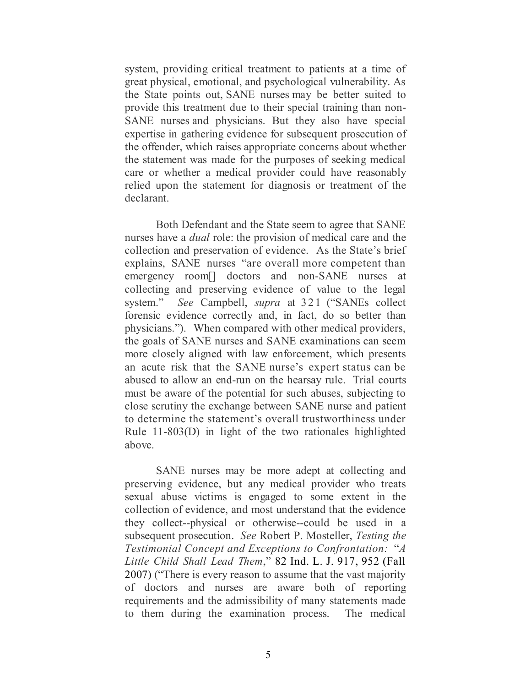system, providing critical treatment to patients at a time of great physical, emotional, and psychological vulnerability. As the State points out, SANE nurses may be better suited to provide this treatment due to their special training than non-SANE nurses and physicians. But they also have special expertise in gathering evidence for subsequent prosecution of the offender, which raises appropriate concerns about whether the statement was made for the purposes of seeking medical care or whether a medical provider could have reasonably relied upon the statement for diagnosis or treatment of the declarant.

Both Defendant and the State seem to agree that SANE nurses have a *dual* role: the provision of medical care and the collection and preservation of evidence. As the State's brief explains, SANE nurses "are overall more competent than emergency room<sup>[]</sup> doctors and non-SANE nurses at collecting and preserving evidence of value to the legal system." *See* Campbell, *supra* at 321 ("SANEs collect forensic evidence correctly and, in fact, do so better than physicians."). When compared with other medical providers, the goals of SANE nurses and SANE examinations can seem more closely aligned with law enforcement, which presents an acute risk that the SANE nurse's expert status can be abused to allow an end-run on the hearsay rule. Trial courts must be aware of the potential for such abuses, subjecting to close scrutiny the exchange between SANE nurse and patient to determine the statement's overall trustworthiness under Rule 11-803(D) in light of the two rationales highlighted above.

SANE nurses may be more adept at collecting and preserving evidence, but any medical provider who treats sexual abuse victims is engaged to some extent in the collection of evidence, and most understand that the evidence they collect--physical or otherwise--could be used in a subsequent prosecution. *See* Robert P. Mosteller, *Testing the Testimonial Concept and Exceptions to Confrontation:* "*A Little Child Shall Lead Them*," 82 Ind. L. J. 917, 952 (Fall 2007) ("There is every reason to assume that the vast majority of doctors and nurses are aware both of reporting requirements and the admissibility of many statements made to them during the examination process. The medical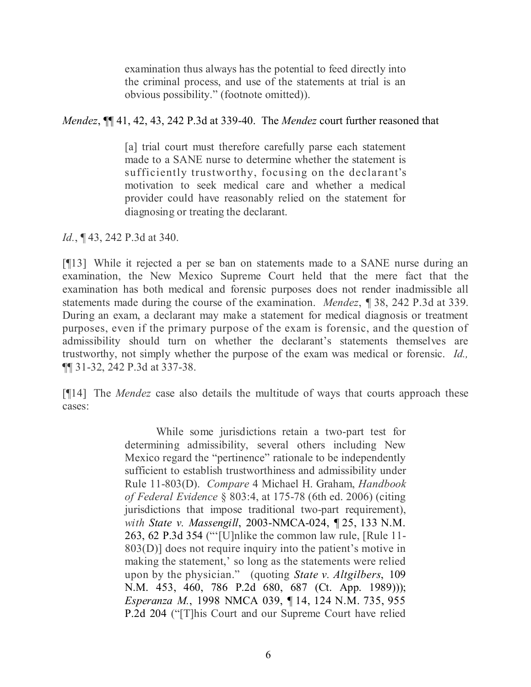examination thus always has the potential to feed directly into the criminal process, and use of the statements at trial is an obvious possibility." (footnote omitted)).

*Mendez*, ¶¶ 41, 42, 43, 242 P.3d at 339-40. The *Mendez* court further reasoned that

[a] trial court must therefore carefully parse each statement made to a SANE nurse to determine whether the statement is sufficiently trustworthy, focusing on the declarant's motivation to seek medical care and whether a medical provider could have reasonably relied on the statement for diagnosing or treating the declarant.

*Id.*, ¶ 43, 242 P.3d at 340.

[¶13] While it rejected a per se ban on statements made to a SANE nurse during an examination, the New Mexico Supreme Court held that the mere fact that the examination has both medical and forensic purposes does not render inadmissible all statements made during the course of the examination. *Mendez*, *¶* 38, 242 P.3d at 339. During an exam, a declarant may make a statement for medical diagnosis or treatment purposes, even if the primary purpose of the exam is forensic, and the question of admissibility should turn on whether the declarant's statements themselves are trustworthy, not simply whether the purpose of the exam was medical or forensic. *Id.,*  ¶¶ 31-32, 242 P.3d at 337-38.

[¶14] The *Mendez* case also details the multitude of ways that courts approach these cases:

> While some jurisdictions retain a two-part test for determining admissibility, several others including New Mexico regard the "pertinence" rationale to be independently sufficient to establish trustworthiness and admissibility under Rule 11-803(D). *Compare* 4 Michael H. Graham, *Handbook of Federal Evidence* § 803:4, at 175-78 (6th ed. 2006) (citing jurisdictions that impose traditional two-part requirement), *with State v. Massengill*, 2003-NMCA-024, ¶ 25, 133 N.M. 263, 62 P.3d 354 ("'[U]nlike the common law rule, [Rule 11- 803(D)] does not require inquiry into the patient's motive in making the statement,' so long as the statements were relied upon by the physician." (quoting *State v. Altgilbers*, 109 N.M. 453, 460, 786 P.2d 680, 687 (Ct. App. 1989))); *Esperanza M.*, 1998 NMCA 039, ¶ 14, 124 N.M. 735, 955 P.2d 204 ("[T]his Court and our Supreme Court have relied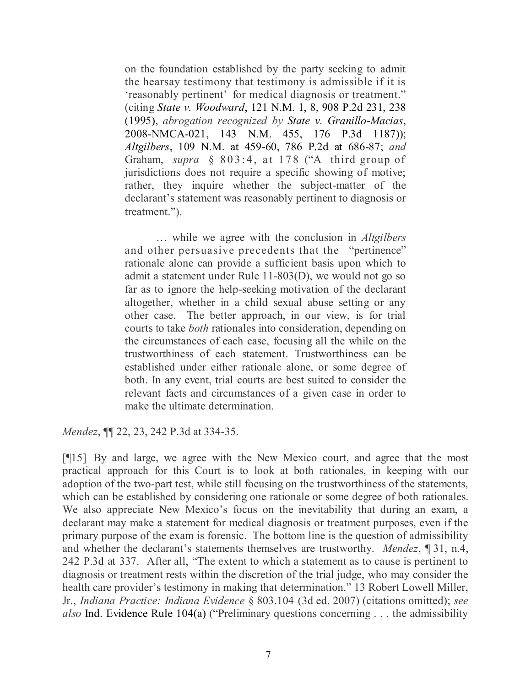on the foundation established by the party seeking to admit the hearsay testimony that testimony is admissible if it is 'reasonably pertinent' for medical diagnosis or treatment." (citing *State v. Woodward*, 121 N.M. 1, 8, 908 P.2d 231, 238 (1995), *abrogation recognized by State v. Granillo-Macias*, 2008-NMCA-021, 143 N.M. 455, 176 P.3d 1187)); *Altgilbers*, 109 N.M. at 459-60, 786 P.2d at 686-87; *and* Graham, *supra* § 803:4, at 178 ("A third group of jurisdictions does not require a specific showing of motive; rather, they inquire whether the subject-matter of the declarant's statement was reasonably pertinent to diagnosis or treatment.").

… while we agree with the conclusion in *Altgilbers* and other persuasive precedents that the "pertinence" rationale alone can provide a sufficient basis upon which to admit a statement under Rule 11-803(D), we would not go so far as to ignore the help-seeking motivation of the declarant altogether, whether in a child sexual abuse setting or any other case. The better approach, in our view, is for trial courts to take *both* rationales into consideration, depending on the circumstances of each case, focusing all the while on the trustworthiness of each statement. Trustworthiness can be established under either rationale alone, or some degree of both. In any event, trial courts are best suited to consider the relevant facts and circumstances of a given case in order to make the ultimate determination.

*Mendez*, ¶¶ 22, 23, 242 P.3d at 334-35.

[¶15] By and large, we agree with the New Mexico court, and agree that the most practical approach for this Court is to look at both rationales, in keeping with our adoption of the two-part test, while still focusing on the trustworthiness of the statements, which can be established by considering one rationale or some degree of both rationales. We also appreciate New Mexico's focus on the inevitability that during an exam, a declarant may make a statement for medical diagnosis or treatment purposes, even if the primary purpose of the exam is forensic. The bottom line is the question of admissibility and whether the declarant's statements themselves are trustworthy. *Mendez*, ¶ 31, n.4, 242 P.3d at 337. After all, "The extent to which a statement as to cause is pertinent to diagnosis or treatment rests within the discretion of the trial judge, who may consider the health care provider's testimony in making that determination." 13 Robert Lowell Miller, Jr., *Indiana Practice: Indiana Evidence* § 803.104 (3d ed. 2007) (citations omitted); *see also* Ind. Evidence Rule 104(a) ("Preliminary questions concerning . . . the admissibility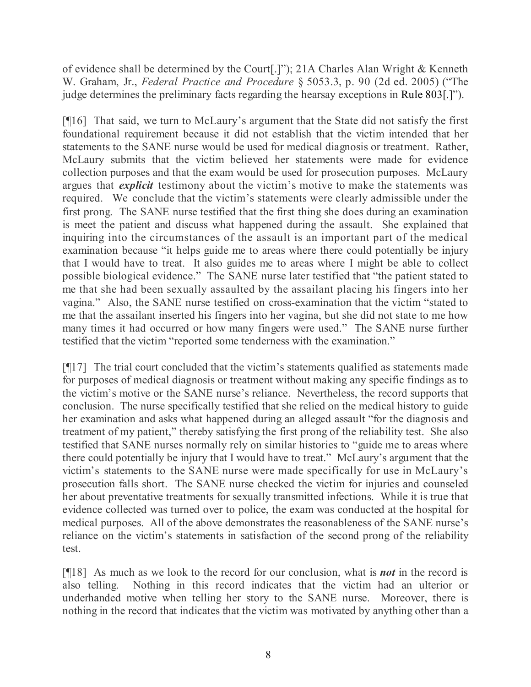of evidence shall be determined by the Court[.]"); 21A Charles Alan Wright & Kenneth W. Graham, Jr., *Federal Practice and Procedure* § 5053.3, p. 90 (2d ed. 2005) ("The judge determines the preliminary facts regarding the hearsay exceptions in Rule 803[.]").

[¶16] That said, we turn to McLaury's argument that the State did not satisfy the first foundational requirement because it did not establish that the victim intended that her statements to the SANE nurse would be used for medical diagnosis or treatment. Rather, McLaury submits that the victim believed her statements were made for evidence collection purposes and that the exam would be used for prosecution purposes. McLaury argues that *explicit* testimony about the victim's motive to make the statements was required. We conclude that the victim's statements were clearly admissible under the first prong. The SANE nurse testified that the first thing she does during an examination is meet the patient and discuss what happened during the assault. She explained that inquiring into the circumstances of the assault is an important part of the medical examination because "it helps guide me to areas where there could potentially be injury that I would have to treat. It also guides me to areas where I might be able to collect possible biological evidence." The SANE nurse later testified that "the patient stated to me that she had been sexually assaulted by the assailant placing his fingers into her vagina." Also, the SANE nurse testified on cross-examination that the victim "stated to me that the assailant inserted his fingers into her vagina, but she did not state to me how many times it had occurred or how many fingers were used." The SANE nurse further testified that the victim "reported some tenderness with the examination."

[¶17] The trial court concluded that the victim's statements qualified as statements made for purposes of medical diagnosis or treatment without making any specific findings as to the victim's motive or the SANE nurse's reliance. Nevertheless, the record supports that conclusion. The nurse specifically testified that she relied on the medical history to guide her examination and asks what happened during an alleged assault "for the diagnosis and treatment of my patient," thereby satisfying the first prong of the reliability test. She also testified that SANE nurses normally rely on similar histories to "guide me to areas where there could potentially be injury that I would have to treat." McLaury's argument that the victim's statements to the SANE nurse were made specifically for use in McLaury's prosecution falls short. The SANE nurse checked the victim for injuries and counseled her about preventative treatments for sexually transmitted infections. While it is true that evidence collected was turned over to police, the exam was conducted at the hospital for medical purposes. All of the above demonstrates the reasonableness of the SANE nurse's reliance on the victim's statements in satisfaction of the second prong of the reliability test.

[¶18] As much as we look to the record for our conclusion, what is *not* in the record is also telling. Nothing in this record indicates that the victim had an ulterior or underhanded motive when telling her story to the SANE nurse. Moreover, there is nothing in the record that indicates that the victim was motivated by anything other than a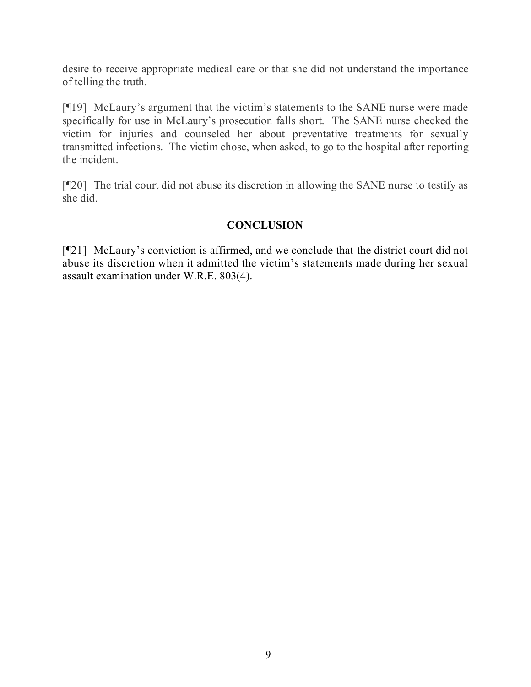desire to receive appropriate medical care or that she did not understand the importance of telling the truth.

[¶19] McLaury's argument that the victim's statements to the SANE nurse were made specifically for use in McLaury's prosecution falls short. The SANE nurse checked the victim for injuries and counseled her about preventative treatments for sexually transmitted infections. The victim chose, when asked, to go to the hospital after reporting the incident.

[¶20] The trial court did not abuse its discretion in allowing the SANE nurse to testify as she did.

# **CONCLUSION**

[¶21] McLaury's conviction is affirmed, and we conclude that the district court did not abuse its discretion when it admitted the victim's statements made during her sexual assault examination under W.R.E. 803(4).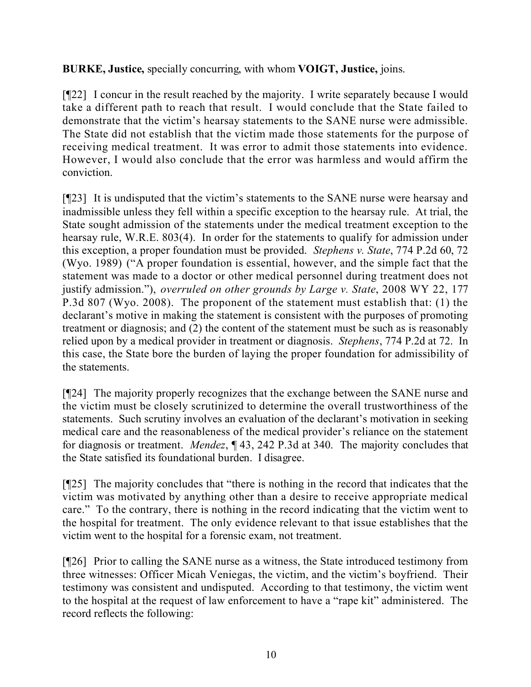**BURKE, Justice,** specially concurring, with whom **VOIGT, Justice,** joins.

[¶22] I concur in the result reached by the majority. I write separately because I would take a different path to reach that result. I would conclude that the State failed to demonstrate that the victim's hearsay statements to the SANE nurse were admissible. The State did not establish that the victim made those statements for the purpose of receiving medical treatment. It was error to admit those statements into evidence. However, I would also conclude that the error was harmless and would affirm the conviction.

[¶23] It is undisputed that the victim's statements to the SANE nurse were hearsay and inadmissible unless they fell within a specific exception to the hearsay rule. At trial, the State sought admission of the statements under the medical treatment exception to the hearsay rule, W.R.E. 803(4). In order for the statements to qualify for admission under this exception, a proper foundation must be provided. *Stephens v. State*, 774 P.2d 60, 72 (Wyo. 1989) ("A proper foundation is essential, however, and the simple fact that the statement was made to a doctor or other medical personnel during treatment does not justify admission."), *overruled on other grounds by Large v. State*, 2008 WY 22, 177 P.3d 807 (Wyo. 2008). The proponent of the statement must establish that: (1) the declarant's motive in making the statement is consistent with the purposes of promoting treatment or diagnosis; and (2) the content of the statement must be such as is reasonably relied upon by a medical provider in treatment or diagnosis. *Stephens*, 774 P.2d at 72. In this case, the State bore the burden of laying the proper foundation for admissibility of the statements.

[¶24] The majority properly recognizes that the exchange between the SANE nurse and the victim must be closely scrutinized to determine the overall trustworthiness of the statements. Such scrutiny involves an evaluation of the declarant's motivation in seeking medical care and the reasonableness of the medical provider's reliance on the statement for diagnosis or treatment. *Mendez*, ¶ 43, 242 P.3d at 340. The majority concludes that the State satisfied its foundational burden. I disagree.

[¶25] The majority concludes that "there is nothing in the record that indicates that the victim was motivated by anything other than a desire to receive appropriate medical care." To the contrary, there is nothing in the record indicating that the victim went to the hospital for treatment. The only evidence relevant to that issue establishes that the victim went to the hospital for a forensic exam, not treatment.

[¶26] Prior to calling the SANE nurse as a witness, the State introduced testimony from three witnesses: Officer Micah Veniegas, the victim, and the victim's boyfriend. Their testimony was consistent and undisputed. According to that testimony, the victim went to the hospital at the request of law enforcement to have a "rape kit" administered. The record reflects the following: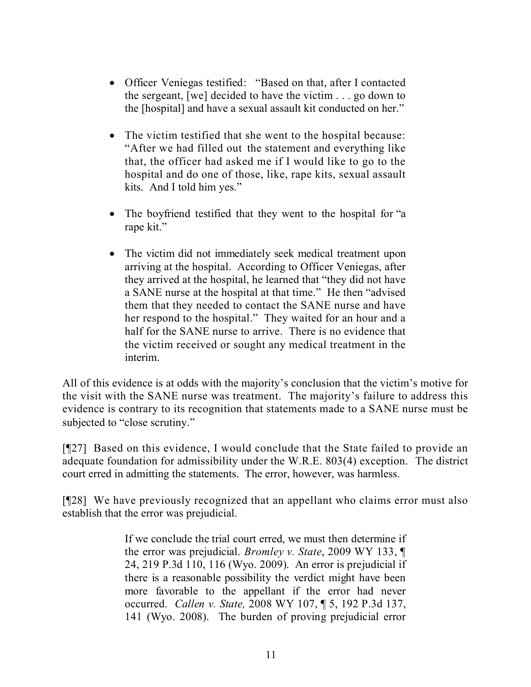- Officer Veniegas testified: "Based on that, after I contacted the sergeant, [we] decided to have the victim . . . go down to the [hospital] and have a sexual assault kit conducted on her."
- The victim testified that she went to the hospital because: "After we had filled out the statement and everything like that, the officer had asked me if I would like to go to the hospital and do one of those, like, rape kits, sexual assault kits. And I told him yes."
- The boyfriend testified that they went to the hospital for "a rape kit."
- The victim did not immediately seek medical treatment upon arriving at the hospital. According to Officer Veniegas, after they arrived at the hospital, he learned that "they did not have a SANE nurse at the hospital at that time." He then "advised them that they needed to contact the SANE nurse and have her respond to the hospital." They waited for an hour and a half for the SANE nurse to arrive. There is no evidence that the victim received or sought any medical treatment in the interim.

All of this evidence is at odds with the majority's conclusion that the victim's motive for the visit with the SANE nurse was treatment. The majority's failure to address this evidence is contrary to its recognition that statements made to a SANE nurse must be subjected to "close scrutiny."

[¶27] Based on this evidence, I would conclude that the State failed to provide an adequate foundation for admissibility under the W.R.E. 803(4) exception. The district court erred in admitting the statements. The error, however, was harmless.

[¶28] We have previously recognized that an appellant who claims error must also establish that the error was prejudicial.

> If we conclude the trial court erred, we must then determine if the error was prejudicial. *Bromley v. State*, 2009 WY 133, ¶ 24, 219 P.3d 110, 116 (Wyo. 2009). An error is prejudicial if there is a reasonable possibility the verdict might have been more favorable to the appellant if the error had never occurred. *Callen v. State,* 2008 WY 107, ¶ 5, 192 P.3d 137, 141 (Wyo. 2008). The burden of proving prejudicial error